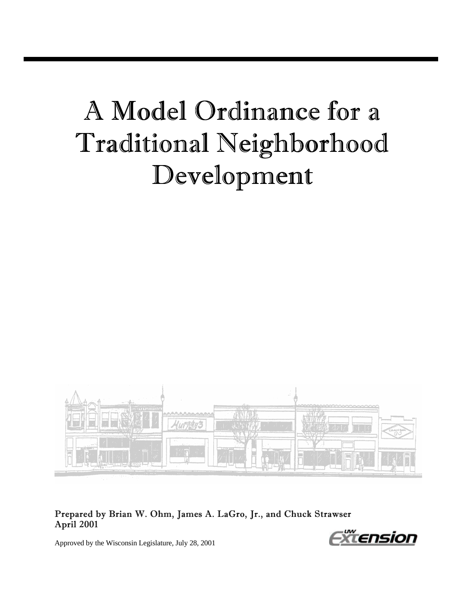# A Model Ordinance for a Traditional Neighborhood Development



#### Prepared by Brian W. Ohm, James A. LaGro, Jr., and Chuck Strawser April 2001

Approved by the Wisconsin Legislature, July 28, 2001

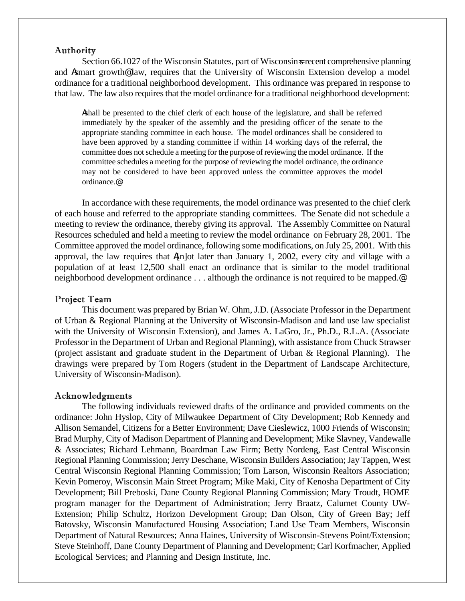#### Authority

Section 66.1027 of the Wisconsin Statutes, part of Wisconsin-s recent comprehensive planning and Asmart growth@ law, requires that the University of Wisconsin Extension develop a model ordinance for a traditional neighborhood development. This ordinance was prepared in response to that law. The law also requires that the model ordinance for a traditional neighborhood development:

Ashall be presented to the chief clerk of each house of the legislature, and shall be referred immediately by the speaker of the assembly and the presiding officer of the senate to the appropriate standing committee in each house. The model ordinances shall be considered to have been approved by a standing committee if within 14 working days of the referral, the committee does not schedule a meeting for the purpose of reviewing the model ordinance. If the committee schedules a meeting for the purpose of reviewing the model ordinance, the ordinance may not be considered to have been approved unless the committee approves the model ordinance.@

In accordance with these requirements, the model ordinance was presented to the chief clerk of each house and referred to the appropriate standing committees. The Senate did not schedule a meeting to review the ordinance, thereby giving its approval. The Assembly Committee on Natural Resources scheduled and held a meeting to review the model ordinance on February 28, 2001. The Committee approved the model ordinance, following some modifications, on July 25, 2001. With this approval, the law requires that A[n]ot later than January 1, 2002, every city and village with a population of at least 12,500 shall enact an ordinance that is similar to the model traditional neighborhood development ordinance . . . although the ordinance is not required to be mapped.@

#### Project Team

This document was prepared by Brian W. Ohm, J.D. (Associate Professor in the Department of Urban & Regional Planning at the University of Wisconsin-Madison and land use law specialist with the University of Wisconsin Extension), and James A. LaGro, Jr., Ph.D., R.L.A. (Associate Professor in the Department of Urban and Regional Planning), with assistance from Chuck Strawser (project assistant and graduate student in the Department of Urban & Regional Planning). The drawings were prepared by Tom Rogers (student in the Department of Landscape Architecture, University of Wisconsin-Madison).

#### Acknowledgments

The following individuals reviewed drafts of the ordinance and provided comments on the ordinance: John Hyslop, City of Milwaukee Department of City Development; Rob Kennedy and Allison Semandel, Citizens for a Better Environment; Dave Cieslewicz, 1000 Friends of Wisconsin; Brad Murphy, City of Madison Department of Planning and Development; Mike Slavney, Vandewalle & Associates; Richard Lehmann, Boardman Law Firm; Betty Nordeng, East Central Wisconsin Regional Planning Commission; Jerry Deschane, Wisconsin Builders Association; Jay Tappen, West Central Wisconsin Regional Planning Commission; Tom Larson, Wisconsin Realtors Association; Kevin Pomeroy, Wisconsin Main Street Program; Mike Maki, City of Kenosha Department of City Development; Bill Preboski, Dane County Regional Planning Commission; Mary Troudt, HOME program manager for the Department of Administration; Jerry Braatz, Calumet County UW-Extension; Philip Schultz, Horizon Development Group; Dan Olson, City of Green Bay; Jeff Batovsky, Wisconsin Manufactured Housing Association; Land Use Team Members, Wisconsin Department of Natural Resources; Anna Haines, University of Wisconsin-Stevens Point/Extension; Steve Steinhoff, Dane County Department of Planning and Development; Carl Korfmacher, Applied Ecological Services; and Planning and Design Institute, Inc.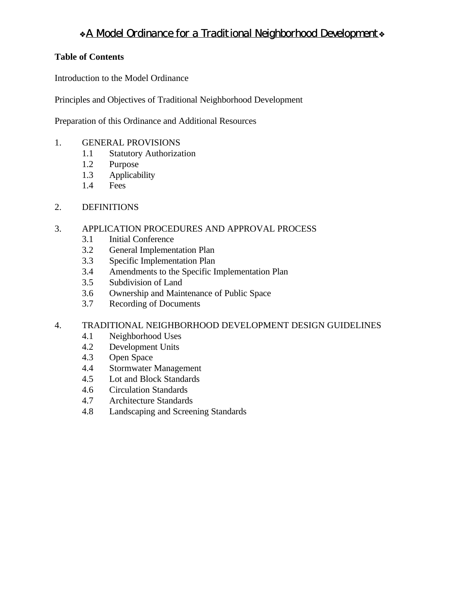# **\*A Model Ordinance for a Traditional Neighborhood Development**

#### **Table of Contents**

Introduction to the Model Ordinance

Principles and Objectives of Traditional Neighborhood Development

Preparation of this Ordinance and Additional Resources

- 1. GENERAL PROVISIONS
	- 1.1 Statutory Authorization
	- 1.2 Purpose
	- 1.3 Applicability
	- 1.4 Fees
- 2. DEFINITIONS

#### 3. APPLICATION PROCEDURES AND APPROVAL PROCESS

- 3.1 Initial Conference
- 3.2 General Implementation Plan
- 3.3 Specific Implementation Plan
- 3.4 Amendments to the Specific Implementation Plan
- 3.5 Subdivision of Land
- 3.6 Ownership and Maintenance of Public Space
- 3.7 Recording of Documents

#### 4. TRADITIONAL NEIGHBORHOOD DEVELOPMENT DESIGN GUIDELINES

- 4.1 Neighborhood Uses
- 4.2 Development Units
- 4.3 Open Space
- 4.4 Stormwater Management
- 4.5 Lot and Block Standards
- 4.6 Circulation Standards
- 4.7 Architecture Standards
- 4.8 Landscaping and Screening Standards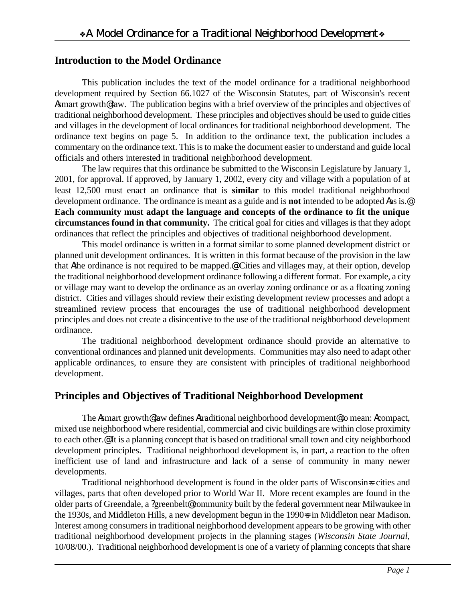# **Introduction to the Model Ordinance**

This publication includes the text of the model ordinance for a traditional neighborhood development required by Section 66.1027 of the Wisconsin Statutes, part of Wisconsin's recent Asmart growth@ law. The publication begins with a brief overview of the principles and objectives of traditional neighborhood development. These principles and objectives should be used to guide cities and villages in the development of local ordinances for traditional neighborhood development. The ordinance text begins on page 5. In addition to the ordinance text, the publication includes a commentary on the ordinance text. This is to make the document easier to understand and guide local officials and others interested in traditional neighborhood development.

The law requires that this ordinance be submitted to the Wisconsin Legislature by January 1, 2001, for approval. If approved, by January 1, 2002, every city and village with a population of at least 12,500 must enact an ordinance that is **similar** to this model traditional neighborhood development ordinance. The ordinance is meant as a guide and is **not** intended to be adopted Aas is.@ **Each community must adapt the language and concepts of the ordinance to fit the unique circumstances found in that community.** The critical goal for cities and villages is that they adopt ordinances that reflect the principles and objectives of traditional neighborhood development.

This model ordinance is written in a format similar to some planned development district or planned unit development ordinances. It is written in this format because of the provision in the law that Athe ordinance is not required to be mapped.@ Cities and villages may, at their option, develop the traditional neighborhood development ordinance following a different format. For example, a city or village may want to develop the ordinance as an overlay zoning ordinance or as a floating zoning district. Cities and villages should review their existing development review processes and adopt a streamlined review process that encourages the use of traditional neighborhood development principles and does not create a disincentive to the use of the traditional neighborhood development ordinance.

The traditional neighborhood development ordinance should provide an alternative to conventional ordinances and planned unit developments. Communities may also need to adapt other applicable ordinances, to ensure they are consistent with principles of traditional neighborhood development.

# **Principles and Objectives of Traditional Neighborhood Development**

The Asmart growth@ law defines Atraditional neighborhood development@ to mean: Acompact, mixed use neighborhood where residential, commercial and civic buildings are within close proximity to each other.@ It is a planning concept that is based on traditional small town and city neighborhood development principles. Traditional neighborhood development is, in part, a reaction to the often inefficient use of land and infrastructure and lack of a sense of community in many newer developments.

Traditional neighborhood development is found in the older parts of Wisconsin=s cities and villages, parts that often developed prior to World War II. More recent examples are found in the older parts of Greendale, a ?greenbelt@ community built by the federal government near Milwaukee in the 1930s, and Middleton Hills, a new development begun in the 1990-s in Middleton near Madison. Interest among consumers in traditional neighborhood development appears to be growing with other traditional neighborhood development projects in the planning stages (*Wisconsin State Journal*, 10/08/00.). Traditional neighborhood development is one of a variety of planning concepts that share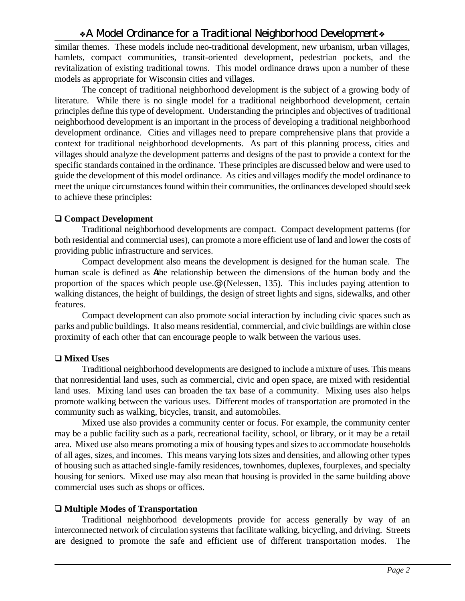similar themes. These models include neo-traditional development, new urbanism, urban villages, hamlets, compact communities, transit-oriented development, pedestrian pockets, and the revitalization of existing traditional towns. This model ordinance draws upon a number of these models as appropriate for Wisconsin cities and villages.

The concept of traditional neighborhood development is the subject of a growing body of literature. While there is no single model for a traditional neighborhood development, certain principles define this type of development. Understanding the principles and objectives of traditional neighborhood development is an important in the process of developing a traditional neighborhood development ordinance. Cities and villages need to prepare comprehensive plans that provide a context for traditional neighborhood developments. As part of this planning process, cities and villages should analyze the development patterns and designs of the past to provide a context for the specific standards contained in the ordinance. These principles are discussed below and were used to guide the development of this model ordinance. As cities and villages modify the model ordinance to meet the unique circumstances found within their communities, the ordinances developed should seek to achieve these principles:

#### ë **Compact Development**

Traditional neighborhood developments are compact. Compact development patterns (for both residential and commercial uses), can promote a more efficient use of land and lower the costs of providing public infrastructure and services.

Compact development also means the development is designed for the human scale. The human scale is defined as Athe relationship between the dimensions of the human body and the proportion of the spaces which people use.@ (Nelessen, 135). This includes paying attention to walking distances, the height of buildings, the design of street lights and signs, sidewalks, and other features.

Compact development can also promote social interaction by including civic spaces such as parks and public buildings. It also means residential, commercial, and civic buildings are within close proximity of each other that can encourage people to walk between the various uses.

## □ Mixed Uses

Traditional neighborhood developments are designed to include a mixture of uses. This means that nonresidential land uses, such as commercial, civic and open space, are mixed with residential land uses. Mixing land uses can broaden the tax base of a community. Mixing uses also helps promote walking between the various uses. Different modes of transportation are promoted in the community such as walking, bicycles, transit, and automobiles.

Mixed use also provides a community center or focus. For example, the community center may be a public facility such as a park, recreational facility, school, or library, or it may be a retail area. Mixed use also means promoting a mix of housing types and sizes to accommodate households of all ages, sizes, and incomes. This means varying lots sizes and densities, and allowing other types of housing such as attached single-family residences, townhomes, duplexes, fourplexes, and specialty housing for seniors. Mixed use may also mean that housing is provided in the same building above commercial uses such as shops or offices.

## ë **Multiple Modes of Transportation**

Traditional neighborhood developments provide for access generally by way of an interconnected network of circulation systems that facilitate walking, bicycling, and driving. Streets are designed to promote the safe and efficient use of different transportation modes. The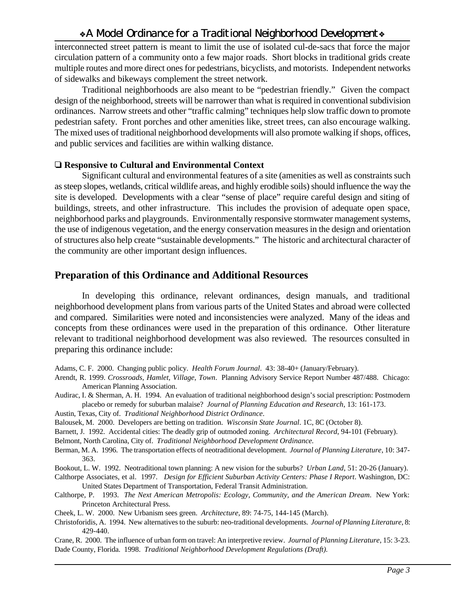interconnected street pattern is meant to limit the use of isolated cul-de-sacs that force the major circulation pattern of a community onto a few major roads. Short blocks in traditional grids create multiple routes and more direct ones for pedestrians, bicyclists, and motorists. Independent networks of sidewalks and bikeways complement the street network.

Traditional neighborhoods are also meant to be "pedestrian friendly." Given the compact design of the neighborhood, streets will be narrower than what is required in conventional subdivision ordinances. Narrow streets and other "traffic calming" techniques help slow traffic down to promote pedestrian safety. Front porches and other amenities like, street trees, can also encourage walking. The mixed uses of traditional neighborhood developments will also promote walking if shops, offices, and public services and facilities are within walking distance.

#### ë **Responsive to Cultural and Environmental Context**

Significant cultural and environmental features of a site (amenities as well as constraints such as steep slopes, wetlands, critical wildlife areas, and highly erodible soils) should influence the way the site is developed. Developments with a clear "sense of place" require careful design and siting of buildings, streets, and other infrastructure. This includes the provision of adequate open space, neighborhood parks and playgrounds. Environmentally responsive stormwater management systems, the use of indigenous vegetation, and the energy conservation measures in the design and orientation of structures also help create "sustainable developments." The historic and architectural character of the community are other important design influences.

## **Preparation of this Ordinance and Additional Resources**

In developing this ordinance, relevant ordinances, design manuals, and traditional neighborhood development plans from various parts of the United States and abroad were collected and compared. Similarities were noted and inconsistencies were analyzed. Many of the ideas and concepts from these ordinances were used in the preparation of this ordinance. Other literature relevant to traditional neighborhood development was also reviewed. The resources consulted in preparing this ordinance include:

Adams, C. F. 2000. Changing public policy. *Health Forum Journal*. 43: 38-40+ (January/February).

- Arendt, R. 1999. *Crossroads, Hamlet, Village, Town*. Planning Advisory Service Report Number 487/488. Chicago: American Planning Association.
- Audirac, I. & Sherman, A. H. 1994. An evaluation of traditional neighborhood design's social prescription: Postmodern placebo or remedy for suburban malaise? *Journal of Planning Education and Research*, 13: 161-173.
- Austin, Texas, City of. *Traditional Neighborhood District Ordinance*.
- Balousek, M. 2000. Developers are betting on tradition. *Wisconsin State Journal*. 1C, 8C (October 8).
- Barnett, J. 1992. Accidental cities: The deadly grip of outmoded zoning. *Architectural Record*, 94-101 (February).

Belmont, North Carolina, City of. *Traditional Neighborhood Development Ordinance.*

Berman, M. A. 1996. The transportation effects of neotraditional development. *Journal of Planning Literature*, 10: 347- 363.

Bookout, L. W. 1992. Neotraditional town planning: A new vision for the suburbs? *Urban Land*, 51: 20-26 (January).

Calthorpe Associates, et al. 1997. *Design for Efficient Suburban Activity Centers: Phase I Report*. Washington, DC: United States Department of Transportation, Federal Transit Administration.

- Calthorpe, P. 1993. *The Next American Metropolis: Ecology, Community, and the American Dream*. New York: Princeton Architectural Press.
- Cheek, L. W. 2000. New Urbanism sees green. *Architecture*, 89: 74-75, 144-145 (March).
- Christoforidis, A. 1994. New alternatives to the suburb: neo-traditional developments. *Journal of Planning Literature*, 8: 429-440.

Crane, R. 2000. The influence of urban form on travel: An interpretive review. *Journal of Planning Literature*, 15: 3-23. Dade County, Florida. 1998. *Traditional Neighborhood Development Regulations (Draft).*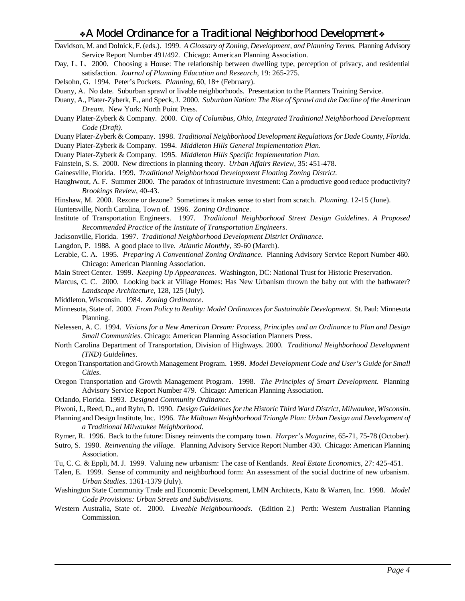- Davidson, M. and Dolnick, F. (eds.). 1999. *A Glossary of Zoning, Development, and Planning Terms.* Planning Advisory Service Report Number 491/492. Chicago: American Planning Association.
- Day, L. L. 2000. Choosing a House: The relationship between dwelling type, perception of privacy, and residential satisfaction. *Journal of Planning Education and Research*, 19: 265-275.
- Delsohn, G. 1994. Peter's Pockets. *Planning*, 60, 18+ (February).
- Duany, A. No date. Suburban sprawl or livable neighborhoods. Presentation to the Planners Training Service.
- Duany, A., Plater-Zyberk, E., and Speck, J. 2000. *Suburban Nation: The Rise of Sprawl and the Decline of the American Dream.* New York: North Point Press.
- Duany Plater-Zyberk & Company. 2000. *City of Columbus, Ohio, Integrated Traditional Neighborhood Development Code (Draft)*.
- Duany Plater-Zyberk & Company. 1998. *Traditional Neighborhood Development Regulations for Dade County, Florida.*
- Duany Plater-Zyberk & Company. 1994. *Middleton Hills General Implementation Plan*.
- Duany Plater-Zyberk & Company. 1995. *Middleton Hills Specific Implementation Plan*.
- Fainstein, S. S. 2000. New directions in planning theory. *Urban Affairs Review*, 35: 451-478.
- Gainesville, Florida. 1999. *Traditional Neighborhood Development Floating Zoning District.*
- Haughwout, A. F. Summer 2000. The paradox of infrastructure investment: Can a productive good reduce productivity? *Brookings Review*, 40-43.
- Hinshaw, M. 2000. Rezone or dezone? Sometimes it makes sense to start from scratch. *Planning*. 12-15 (June).
- Huntersville, North Carolina, Town of. 1996. *Zoning Ordinance*.
- Institute of Transportation Engineers. 1997. *Traditional Neighborhood Street Design Guidelines*. *A Proposed Recommended Practice of the Institute of Transportation Engineers*.
- Jacksonville, Florida. 1997. *Traditional Neighborhood Development District Ordinance.*
- Langdon, P. 1988. A good place to live. *Atlantic Monthly*, 39-60 (March).
- Lerable, C. A. 1995. *Preparing A Conventional Zoning Ordinance*. Planning Advisory Service Report Number 460. Chicago: American Planning Association.
- Main Street Center. 1999. *Keeping Up Appearances*. Washington, DC: National Trust for Historic Preservation.
- Marcus, C. C. 2000. Looking back at Village Homes: Has New Urbanism thrown the baby out with the bathwater? *Landscape Architecture*, 128, 125 (July).
- Middleton, Wisconsin. 1984. *Zoning Ordinance*.
- Minnesota, State of. 2000. *From Policy to Reality: Model Ordinances for Sustainable Development*. St. Paul: Minnesota Planning.
- Nelessen, A. C. 1994. *Visions for a New American Dream: Process, Principles and an Ordinance to Plan and Design Small Communities.* Chicago: American Planning Association Planners Press.
- North Carolina Department of Transportation, Division of Highways. 2000. *Traditional Neighborhood Development (TND) Guidelines*.
- Oregon Transportation and Growth Management Program. 1999. *Model Development Code and User's Guide for Small Cities*.
- Oregon Transportation and Growth Management Program. 1998. *The Principles of Smart Development.* Planning Advisory Service Report Number 479. Chicago: American Planning Association.
- Orlando, Florida. 1993. *Designed Community Ordinance.*
- Piwoni, J., Reed, D., and Ryhn, D. 1990. *Design Guidelines for the Historic Third Ward District, Milwaukee, Wisconsin*.
- Planning and Design Institute, Inc. 1996. *The Midtown Neighborhood Triangle Plan: Urban Design and Development of a Traditional Milwaukee Neighborhood*.
- Rymer, R. 1996. Back to the future: Disney reinvents the company town. *Harper's Magazine*, 65-71, 75-78 (October).
- Sutro, S. 1990. *Reinventing the village.* Planning Advisory Service Report Number 430. Chicago: American Planning Association.
- Tu, C. C. & Eppli, M. J. 1999. Valuing new urbanism: The case of Kentlands. *Real Estate Economic*s, 27: 425-451.
- Talen, E. 1999. Sense of community and neighborhood form: An assessment of the social doctrine of new urbanism. *Urban Studies*. 1361-1379 (July).
- Washington State Community Trade and Economic Development, LMN Architects, Kato & Warren, Inc. 1998. *Model Code Provisions: Urban Streets and Subdivisions*.
- Western Australia, State of. 2000. *Liveable Neighbourhoods*. (Edition 2.) Perth: Western Australian Planning Commission.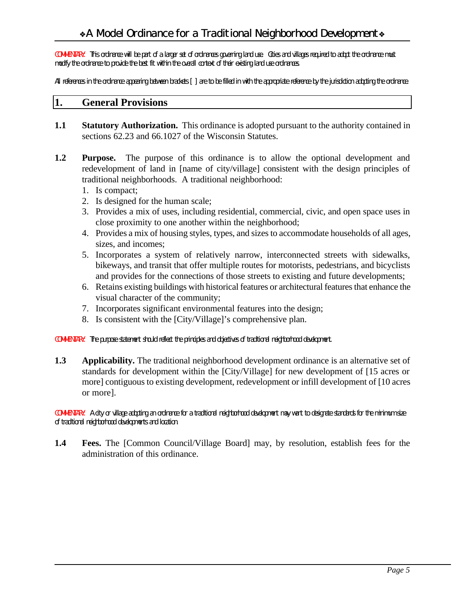*COMMENTARY: This ordinance will be part of a larger set of ordinances governing land use. Cities and villages required to adopt the ordinance must modify the ordinance to provide the best fit within the overall context of their existing land use ordinances.* 

*All references in the ordinance appearing between brackets* [ ] *are to be filled in with the appropriate reference by the jurisdiction adopting the ordinance.*

#### **1. General Provisions**

- **1.1 Statutory Authorization.** This ordinance is adopted pursuant to the authority contained in sections 62.23 and 66.1027 of the Wisconsin Statutes.
- **1.2 Purpose.** The purpose of this ordinance is to allow the optional development and redevelopment of land in [name of city/village] consistent with the design principles of traditional neighborhoods. A traditional neighborhood:
	- 1. Is compact;
	- 2. Is designed for the human scale;
	- 3. Provides a mix of uses, including residential, commercial, civic, and open space uses in close proximity to one another within the neighborhood;
	- 4. Provides a mix of housing styles, types, and sizes to accommodate households of all ages, sizes, and incomes;
	- 5. Incorporates a system of relatively narrow, interconnected streets with sidewalks, bikeways, and transit that offer multiple routes for motorists, pedestrians, and bicyclists and provides for the connections of those streets to existing and future developments;
	- 6. Retains existing buildings with historical features or architectural features that enhance the visual character of the community;
	- 7. Incorporates significant environmental features into the design;
	- 8. Is consistent with the [City/Village]'s comprehensive plan.

*COMMENTARY: The purpose statement should reflect the principles and objectives of traditional neighborhood development.*

**1.3 Applicability.** The traditional neighborhood development ordinance is an alternative set of standards for development within the [City/Village] for new development of [15 acres or more] contiguous to existing development, redevelopment or infill development of [10 acres or more].

*COMMENTARY: A city or village adopting an ordinance for a traditional neighborhood development may want to designate standards for the minimum size of traditional neighborhood developments and location.*

**1.4 Fees.** The [Common Council/Village Board] may, by resolution, establish fees for the administration of this ordinance.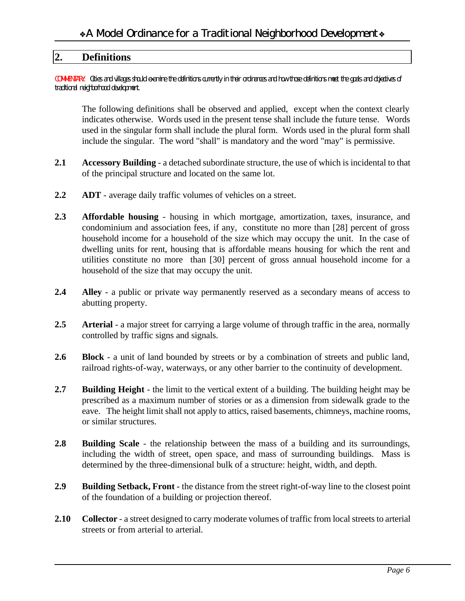## **2. Definitions**

*COMMENTARY: Cities and villages should examine the definitions currently in their ordinances and how those definitions meet the goals and objectives of traditional neighborhood development.*

The following definitions shall be observed and applied, except when the context clearly indicates otherwise. Words used in the present tense shall include the future tense. Words used in the singular form shall include the plural form. Words used in the plural form shall include the singular. The word "shall" is mandatory and the word "may" is permissive.

- **2.1 Accessory Building** a detached subordinate structure, the use of which is incidental to that of the principal structure and located on the same lot.
- **2.2 ADT** average daily traffic volumes of vehicles on a street.
- **2.3 Affordable housing** housing in which mortgage, amortization, taxes, insurance, and condominium and association fees, if any, constitute no more than [28] percent of gross household income for a household of the size which may occupy the unit. In the case of dwelling units for rent, housing that is affordable means housing for which the rent and utilities constitute no more than [30] percent of gross annual household income for a household of the size that may occupy the unit.
- **2.4 Alley** a public or private way permanently reserved as a secondary means of access to abutting property.
- **2.5 Arterial** a major street for carrying a large volume of through traffic in the area, normally controlled by traffic signs and signals.
- **2.6 Block** a unit of land bounded by streets or by a combination of streets and public land, railroad rights-of-way, waterways, or any other barrier to the continuity of development.
- **2.7 Building Height** the limit to the vertical extent of a building. The building height may be prescribed as a maximum number of stories or as a dimension from sidewalk grade to the eave. The height limit shall not apply to attics, raised basements, chimneys, machine rooms, or similar structures.
- **2.8 Building Scale** the relationship between the mass of a building and its surroundings, including the width of street, open space, and mass of surrounding buildings. Mass is determined by the three-dimensional bulk of a structure: height, width, and depth.
- **2.9 Building Setback, Front -** the distance from the street right-of-way line to the closest point of the foundation of a building or projection thereof.
- **2.10 Collector** a street designed to carry moderate volumes of traffic from local streets to arterial streets or from arterial to arterial.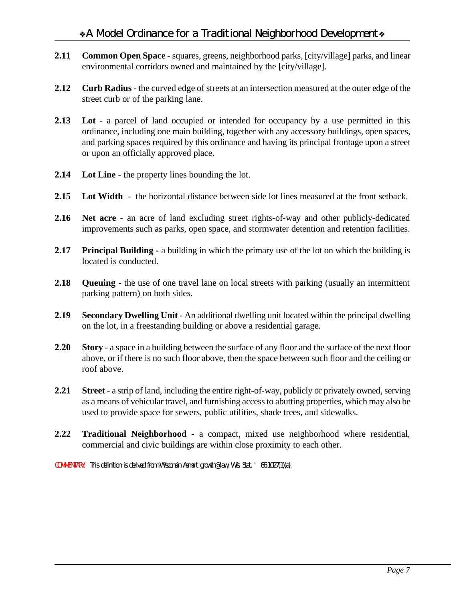- **2.11 Common Open Space** squares, greens, neighborhood parks, [city/village] parks, and linear environmental corridors owned and maintained by the [city/village].
- **2.12 Curb Radius** the curved edge of streets at an intersection measured at the outer edge of the street curb or of the parking lane.
- **2.13 Lot** a parcel of land occupied or intended for occupancy by a use permitted in this ordinance, including one main building, together with any accessory buildings, open spaces, and parking spaces required by this ordinance and having its principal frontage upon a street or upon an officially approved place.
- **2.14 Lot Line** the property lines bounding the lot.
- **2.15 Lot Width** the horizontal distance between side lot lines measured at the front setback.
- **2.16 Net acre -** an acre of land excluding street rights-of-way and other publicly-dedicated improvements such as parks, open space, and stormwater detention and retention facilities.
- **2.17 Principal Building -** a building in which the primary use of the lot on which the building is located is conducted.
- **2.18 Queuing** the use of one travel lane on local streets with parking (usually an intermittent parking pattern) on both sides.
- **2.19 Secondary Dwelling Unit**  An additional dwelling unit located within the principal dwelling on the lot, in a freestanding building or above a residential garage.
- **2.20 Story** a space in a building between the surface of any floor and the surface of the next floor above, or if there is no such floor above, then the space between such floor and the ceiling or roof above.
- **2.21 Street** a strip of land, including the entire right-of-way, publicly or privately owned, serving as a means of vehicular travel, and furnishing access to abutting properties, which may also be used to provide space for sewers, public utilities, shade trees, and sidewalks.
- **2.22 Traditional Neighborhood** a compact, mixed use neighborhood where residential, commercial and civic buildings are within close proximity to each other.

*COMMENTARY: This definition is derived from Wisconsin Asmart growth@ law, Wis. Stat. ' 66.1027(1)(a).*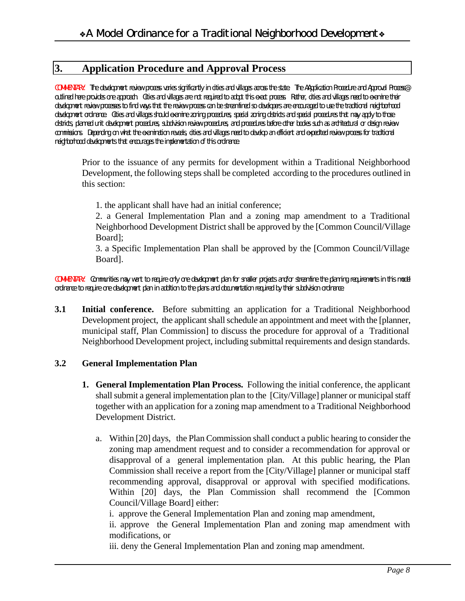# **3. Application Procedure and Approval Process**

*COMMENTARY: The development review process varies significantly in cities and villages across the state. The AApplication Procedure and Approval Process@ outlined here provides one approach. Cities and villages are not required to adopt this exact process. Rather, cities and villages need to examine their development review processes to find ways that the review process can be streamlined so developers are encouraged to use the traditional neighborhood*  development ordinance. Cities and villages should examine zoning procedures, special zoning districts and special procedures that may apply to those *districts, planned unit development procedures, subdivision review procedures, and procedures before other bodies such as architectural or design review commissions. Depending on what the examination reveals, cities and villages need to develop an efficient and expedited review process for traditional neighborhood developments that encourages the implementation of this ordinance.*

Prior to the issuance of any permits for development within a Traditional Neighborhood Development, the following steps shall be completed according to the procedures outlined in this section:

1. the applicant shall have had an initial conference;

2. a General Implementation Plan and a zoning map amendment to a Traditional Neighborhood Development District shall be approved by the [Common Council/Village Board];

3. a Specific Implementation Plan shall be approved by the [Common Council/Village Board].

*COMMENTARY: Communities may want to require only one development plan for smaller projects and/or streamline the planning requirements in this model ordinance to require one development plan in addition to the plans and documentation required by their subdivision ordinance.*

**3.1 Initial conference.** Before submitting an application for a Traditional Neighborhood Development project, the applicant shall schedule an appointment and meet with the [planner, municipal staff, Plan Commission] to discuss the procedure for approval of a Traditional Neighborhood Development project, including submittal requirements and design standards.

#### **3.2 General Implementation Plan**

- **1. General Implementation Plan Process.** Following the initial conference, the applicant shall submit a general implementation plan to the [City/Village] planner or municipal staff together with an application for a zoning map amendment to a Traditional Neighborhood Development District.
	- a. Within [20] days, the Plan Commission shall conduct a public hearing to consider the zoning map amendment request and to consider a recommendation for approval or disapproval of a general implementation plan. At this public hearing, the Plan Commission shall receive a report from the [City/Village] planner or municipal staff recommending approval, disapproval or approval with specified modifications. Within [20] days, the Plan Commission shall recommend the [Common Council/Village Board] either:

i. approve the General Implementation Plan and zoning map amendment,

ii. approve the General Implementation Plan and zoning map amendment with modifications, or

iii. deny the General Implementation Plan and zoning map amendment.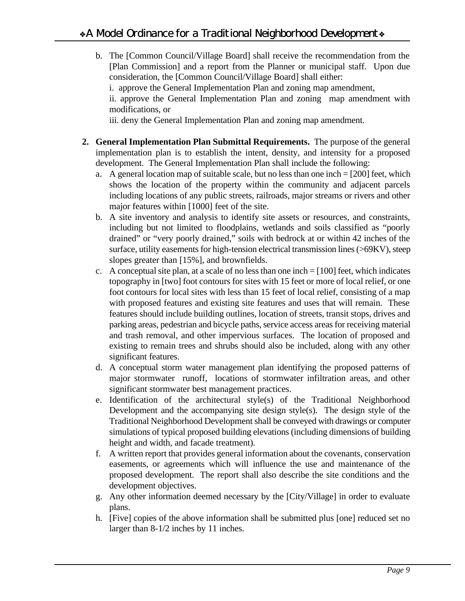- b. The [Common Council/Village Board] shall receive the recommendation from the [Plan Commission] and a report from the Planner or municipal staff. Upon due consideration, the [Common Council/Village Board] shall either:
	- i. approve the General Implementation Plan and zoning map amendment,

ii. approve the General Implementation Plan and zoning map amendment with modifications, or

iii. deny the General Implementation Plan and zoning map amendment.

- **2. General Implementation Plan Submittal Requirements.** The purpose of the general implementation plan is to establish the intent, density, and intensity for a proposed development. The General Implementation Plan shall include the following:
	- a. A general location map of suitable scale, but no less than one inch  $= [200]$  feet, which shows the location of the property within the community and adjacent parcels including locations of any public streets, railroads, major streams or rivers and other major features within [1000] feet of the site.
	- b. A site inventory and analysis to identify site assets or resources, and constraints, including but not limited to floodplains, wetlands and soils classified as "poorly drained" or "very poorly drained," soils with bedrock at or within 42 inches of the surface, utility easements for high-tension electrical transmission lines (>69KV), steep slopes greater than [15%], and brownfields.
	- c. A conceptual site plan, at a scale of no less than one inch  $= [100]$  feet, which indicates topography in [two] foot contours for sites with 15 feet or more of local relief, or one foot contours for local sites with less than 15 feet of local relief, consisting of a map with proposed features and existing site features and uses that will remain. These features should include building outlines, location of streets, transit stops, drives and parking areas, pedestrian and bicycle paths, service access areas for receiving material and trash removal, and other impervious surfaces. The location of proposed and existing to remain trees and shrubs should also be included, along with any other significant features.
	- d. A conceptual storm water management plan identifying the proposed patterns of major stormwater runoff, locations of stormwater infiltration areas, and other significant stormwater best management practices.
	- e. Identification of the architectural style(s) of the Traditional Neighborhood Development and the accompanying site design style(s). The design style of the Traditional Neighborhood Development shall be conveyed with drawings or computer simulations of typical proposed building elevations (including dimensions of building height and width, and facade treatment).
	- f. A written report that provides general information about the covenants, conservation easements, or agreements which will influence the use and maintenance of the proposed development. The report shall also describe the site conditions and the development objectives.
	- g. Any other information deemed necessary by the [City/Village] in order to evaluate plans.
	- h. [Five] copies of the above information shall be submitted plus [one] reduced set no larger than 8-1/2 inches by 11 inches.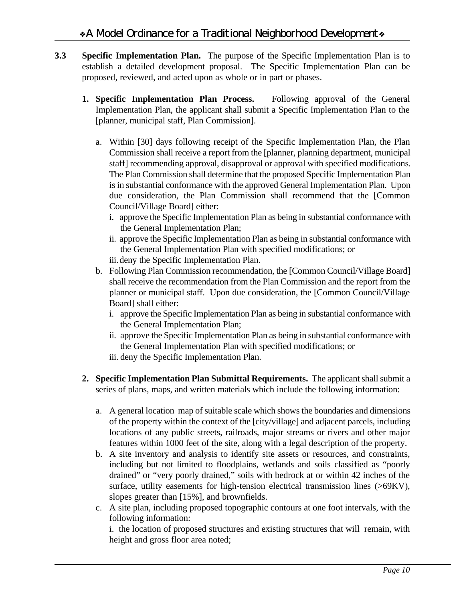- **3.3 Specific Implementation Plan.** The purpose of the Specific Implementation Plan is to establish a detailed development proposal. The Specific Implementation Plan can be proposed, reviewed, and acted upon as whole or in part or phases.
	- **1. Specific Implementation Plan Process.** Following approval of the General Implementation Plan, the applicant shall submit a Specific Implementation Plan to the [planner, municipal staff, Plan Commission].
		- a. Within [30] days following receipt of the Specific Implementation Plan, the Plan Commission shall receive a report from the [planner, planning department, municipal staff] recommending approval, disapproval or approval with specified modifications. The Plan Commission shall determine that the proposed Specific Implementation Plan is in substantial conformance with the approved General Implementation Plan. Upon due consideration, the Plan Commission shall recommend that the [Common Council/Village Board] either:
			- i. approve the Specific Implementation Plan as being in substantial conformance with the General Implementation Plan;
			- ii. approve the Specific Implementation Plan as being in substantial conformance with the General Implementation Plan with specified modifications; or
			- iii.deny the Specific Implementation Plan.
		- b. Following Plan Commission recommendation, the [Common Council/Village Board] shall receive the recommendation from the Plan Commission and the report from the planner or municipal staff. Upon due consideration, the [Common Council/Village Board] shall either:
			- i. approve the Specific Implementation Plan as being in substantial conformance with the General Implementation Plan;
			- ii. approve the Specific Implementation Plan as being in substantial conformance with the General Implementation Plan with specified modifications; or iii. deny the Specific Implementation Plan.
	- **2. Specific Implementation Plan Submittal Requirements.** The applicant shall submit a series of plans, maps, and written materials which include the following information:
		- a. A general location map of suitable scale which shows the boundaries and dimensions of the property within the context of the [city/village] and adjacent parcels, including locations of any public streets, railroads, major streams or rivers and other major features within 1000 feet of the site, along with a legal description of the property.
		- b. A site inventory and analysis to identify site assets or resources, and constraints, including but not limited to floodplains, wetlands and soils classified as "poorly drained" or "very poorly drained," soils with bedrock at or within 42 inches of the surface, utility easements for high-tension electrical transmission lines (>69KV), slopes greater than [15%], and brownfields.
		- c. A site plan, including proposed topographic contours at one foot intervals, with the following information:

i. the location of proposed structures and existing structures that will remain, with height and gross floor area noted;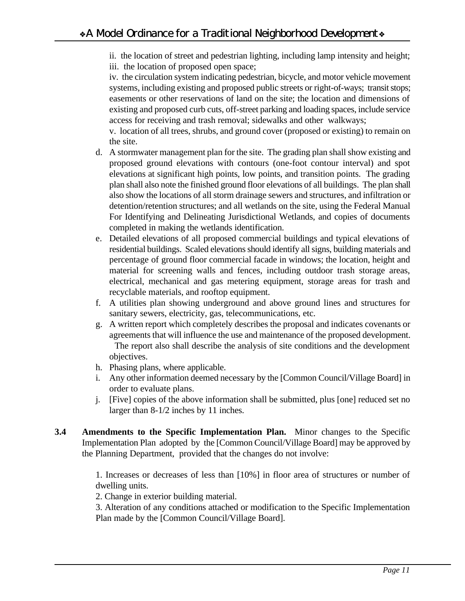ii. the location of street and pedestrian lighting, including lamp intensity and height; iii. the location of proposed open space;

iv. the circulation system indicating pedestrian, bicycle, and motor vehicle movement systems, including existing and proposed public streets or right-of-ways; transit stops; easements or other reservations of land on the site; the location and dimensions of existing and proposed curb cuts, off-street parking and loading spaces, include service access for receiving and trash removal; sidewalks and other walkways;

v. location of all trees, shrubs, and ground cover (proposed or existing) to remain on the site.

- d. A stormwater management plan for the site. The grading plan shall show existing and proposed ground elevations with contours (one-foot contour interval) and spot elevations at significant high points, low points, and transition points. The grading plan shall also note the finished ground floor elevations of all buildings. The plan shall also show the locations of all storm drainage sewers and structures, and infiltration or detention/retention structures; and all wetlands on the site, using the Federal Manual For Identifying and Delineating Jurisdictional Wetlands, and copies of documents completed in making the wetlands identification.
- e. Detailed elevations of all proposed commercial buildings and typical elevations of residential buildings. Scaled elevations should identify all signs, building materials and percentage of ground floor commercial facade in windows; the location, height and material for screening walls and fences, including outdoor trash storage areas, electrical, mechanical and gas metering equipment, storage areas for trash and recyclable materials, and rooftop equipment.
- f. A utilities plan showing underground and above ground lines and structures for sanitary sewers, electricity, gas, telecommunications, etc.
- g. A written report which completely describes the proposal and indicates covenants or agreements that will influence the use and maintenance of the proposed development. The report also shall describe the analysis of site conditions and the development objectives.
- h. Phasing plans, where applicable.
- i. Any other information deemed necessary by the [Common Council/Village Board] in order to evaluate plans.
- j. [Five] copies of the above information shall be submitted, plus [one] reduced set no larger than 8-1/2 inches by 11 inches.
- **3.4 Amendments to the Specific Implementation Plan.** Minor changes to the Specific Implementation Plan adopted by the [Common Council/Village Board] may be approved by the Planning Department, provided that the changes do not involve:

1. Increases or decreases of less than [10%] in floor area of structures or number of dwelling units.

2. Change in exterior building material.

3. Alteration of any conditions attached or modification to the Specific Implementation Plan made by the [Common Council/Village Board].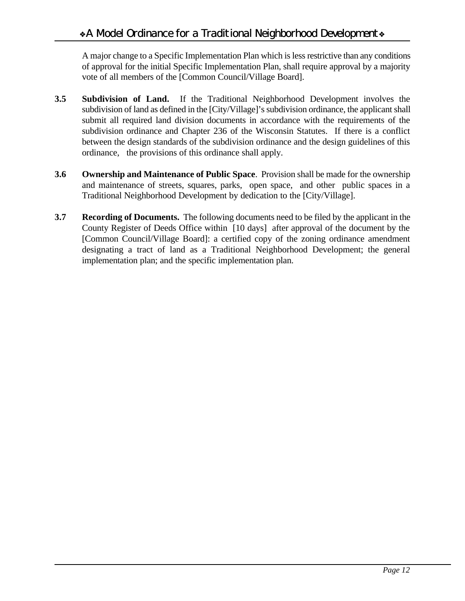A major change to a Specific Implementation Plan which is less restrictive than any conditions of approval for the initial Specific Implementation Plan, shall require approval by a majority vote of all members of the [Common Council/Village Board].

- **3.5 Subdivision of Land.** If the Traditional Neighborhood Development involves the subdivision of land as defined in the [City/Village]'s subdivision ordinance, the applicant shall submit all required land division documents in accordance with the requirements of the subdivision ordinance and Chapter 236 of the Wisconsin Statutes. If there is a conflict between the design standards of the subdivision ordinance and the design guidelines of this ordinance, the provisions of this ordinance shall apply.
- **3.6 Ownership and Maintenance of Public Space**. Provision shall be made for the ownership and maintenance of streets, squares, parks, open space, and other public spaces in a Traditional Neighborhood Development by dedication to the [City/Village].
- **3.7 Recording of Documents.** The following documents need to be filed by the applicant in the County Register of Deeds Office within [10 days] after approval of the document by the [Common Council/Village Board]: a certified copy of the zoning ordinance amendment designating a tract of land as a Traditional Neighborhood Development; the general implementation plan; and the specific implementation plan.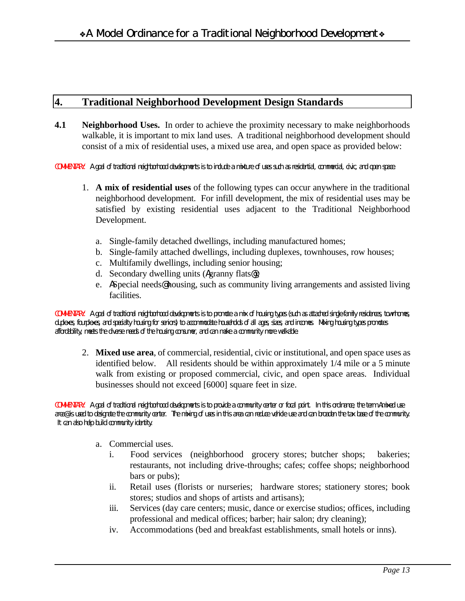# **4. Traditional Neighborhood Development Design Standards**

**4.1 Neighborhood Uses.** In order to achieve the proximity necessary to make neighborhoods walkable, it is important to mix land uses. A traditional neighborhood development should consist of a mix of residential uses, a mixed use area, and open space as provided below:

*COMMENTARY: A goal of traditional neighborhood developments is to include a mixture of uses such as residential, commercial, civic, and open space.*

- 1. **A mix of residential uses** of the following types can occur anywhere in the traditional neighborhood development. For infill development, the mix of residential uses may be satisfied by existing residential uses adjacent to the Traditional Neighborhood Development.
	- a. Single-family detached dwellings, including manufactured homes;
	- b. Single-family attached dwellings, including duplexes, townhouses, row houses;
	- c. Multifamily dwellings, including senior housing;
	- d. Secondary dwelling units (Agranny flats@);
	- e. ASpecial needs@ housing, such as community living arrangements and assisted living facilities.

*COMMENTARY: A goal of traditional neighborhood developments is to promote a mix of housing types (such as attached single-family residences, townhomes, duplexes, fourplexes, and specialty housing for seniors) to accommodate households of all ages, sizes, and incomes. Mixing housing types promotes affordability, meets the diverse needs of the housing consumer, and can make a community more walkable.* 

2. **Mixed use area**, of commercial, residential, civic or institutional, and open space uses as identified below. All residents should be within approximately 1/4 mile or a 5 minute walk from existing or proposed commercial, civic, and open space areas. Individual businesses should not exceed [6000] square feet in size.

*COMMENTARY: A goal of traditional neighborhood developments is to provide a community center or focal point. In this ordinance, the term Amixed use area@ is used to designate the community center. The mixing of uses in this area can reduce vehicle use and can broaden the tax base of the community. It can also help build community identity.*

- a. Commercial uses.
	- i. Food services (neighborhood grocery stores; butcher shops; bakeries; restaurants, not including drive-throughs; cafes; coffee shops; neighborhood bars or pubs);
	- ii. Retail uses (florists or nurseries; hardware stores; stationery stores; book stores; studios and shops of artists and artisans);
	- iii. Services (day care centers; music, dance or exercise studios; offices, including professional and medical offices; barber; hair salon; dry cleaning);
	- iv. Accommodations (bed and breakfast establishments, small hotels or inns).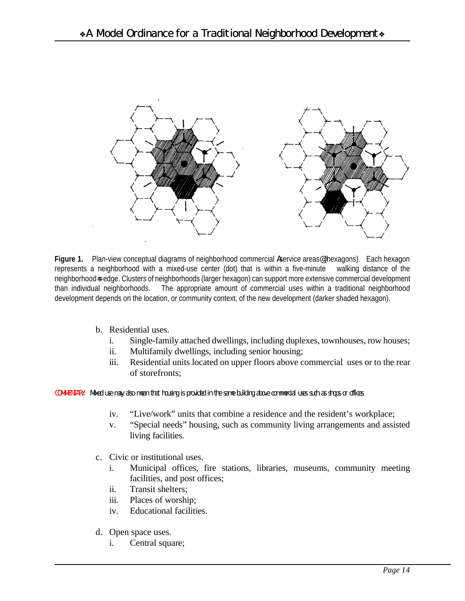

Figure 1. Plan-view conceptual diagrams of neighborhood commercial Aservice areas<sup>@</sup> (hexagons). Each hexagon represents a neighborhood with a mixed-use center (dot) that is within a five-minute walking distance of the neighborhood=s edge. Clusters of neighborhoods (larger hexagon) can support more extensive commercial development than individual neighborhoods. The appropriate amount of commercial uses within a traditional neighborhood development depends on the location, or community context, of the new development (darker shaded hexagon).

- b. Residential uses.
	- i. Single-family attached dwellings, including duplexes, townhouses, row houses;
	- ii. Multifamily dwellings, including senior housing;
	- iii. Residential units located on upper floors above commercial uses or to the rear of storefronts;

*COMMENTARY: Mixed use may also mean that housing is provided in the same building above commercial uses such as shops or offices.* 

- iv. "Live/work" units that combine a residence and the resident's workplace;
- v. "Special needs" housing, such as community living arrangements and assisted living facilities.
- c. Civic or institutional uses.
	- i. Municipal offices, fire stations, libraries, museums, community meeting facilities, and post offices;
	- ii. Transit shelters;
	- iii. Places of worship;
	- iv. Educational facilities.
- d. Open space uses.
	- i. Central square;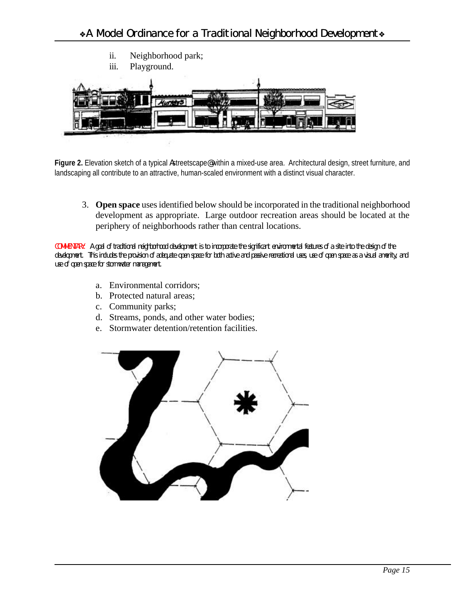

Figure 2. Elevation sketch of a typical Astreetscape@within a mixed-use area. Architectural design, street furniture, and landscaping all contribute to an attractive, human-scaled environment with a distinct visual character.

3. **Open space** uses identified below should be incorporated in the traditional neighborhood development as appropriate. Large outdoor recreation areas should be located at the periphery of neighborhoods rather than central locations.

*COMMENTARY: A goal of traditional neighborhood development is to incorporate the significant environmental features of a site into the design of the development. This includes the provision of adequate open space for both active and passive recreational uses, use of open space as a visual amenity, and use of open space for stormwater management.*

- a. Environmental corridors;
- b. Protected natural areas;
- c. Community parks;
- d. Streams, ponds, and other water bodies;
- e. Stormwater detention/retention facilities.

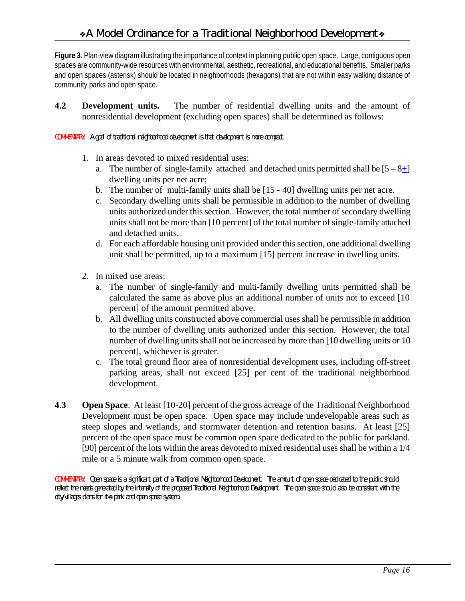**Figure 3.** Plan-view diagram illustrating the importance of context in planning public open space. Large, contiguous open spaces are community-wide resources with environmental, aesthetic, recreational, and educational benefits. Smaller parks and open spaces (asterisk) should be located in neighborhoods (hexagons) that are not within easy walking distance of community parks and open space.

**4.2 Development units.** The number of residential dwelling units and the amount of nonresidential development (excluding open spaces) shall be determined as follows:

*COMMENTARY: A goal of traditional neighborhood development is that development is more compact.*

- 1. In areas devoted to mixed residential uses:
	- a. The number of single-family attached and detached units permitted shall be  $[5 8 +]$ dwelling units per net acre;
	- b. The number of multi-family units shall be [15 40] dwelling units per net acre.
	- c. Secondary dwelling units shall be permissible in addition to the number of dwelling units authorized under this section.. However, the total number of secondary dwelling units shall not be more than [10 percent] of the total number of single-family attached and detached units.
	- d. For each affordable housing unit provided under this section, one additional dwelling unit shall be permitted, up to a maximum [15] percent increase in dwelling units.
- 2. In mixed use areas:
	- a. The number of single-family and multi-family dwelling units permitted shall be calculated the same as above plus an additional number of units not to exceed [10 percent] of the amount permitted above.
	- b. All dwelling units constructed above commercial uses shall be permissible in addition to the number of dwelling units authorized under this section. However, the total number of dwelling units shall not be increased by more than [10 dwelling units or 10 percent], whichever is greater.
	- c. The total ground floor area of nonresidential development uses, including off-street parking areas, shall not exceed [25] per cent of the traditional neighborhood development.
- **4.3 Open Space**. At least [10-20] percent of the gross acreage of the Traditional Neighborhood Development must be open space. Open space may include undevelopable areas such as steep slopes and wetlands, and stormwater detention and retention basins. At least [25] percent of the open space must be common open space dedicated to the public for parkland. [90] percent of the lots within the areas devoted to mixed residential uses shall be within a 1/4 mile or a 5 minute walk from common open space.

*COMMENTARY: Open space is a significant part of a Traditional Neighborhood Development. The amount of open space dedicated to the public should*  reflect the needs generated by the intensity of the proposed Traditional Neighborhood Development. The open space should also be consistent with the *city/villages plans for it=s park and open space system.*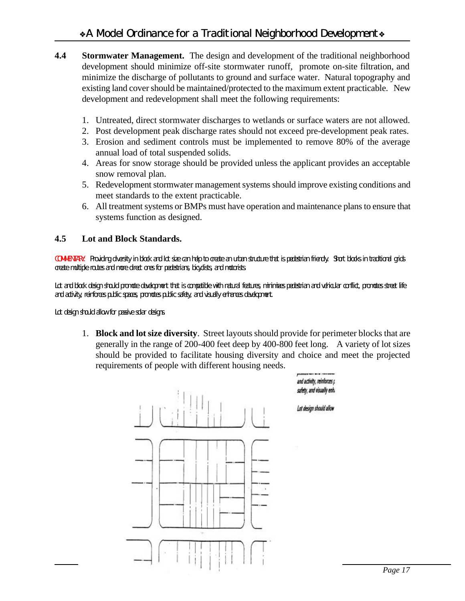- **4.4 Stormwater Management.** The design and development of the traditional neighborhood development should minimize off-site stormwater runoff, promote on-site filtration, and minimize the discharge of pollutants to ground and surface water. Natural topography and existing land cover should be maintained/protected to the maximum extent practicable. New development and redevelopment shall meet the following requirements:
	- 1. Untreated, direct stormwater discharges to wetlands or surface waters are not allowed.
	- 2. Post development peak discharge rates should not exceed pre-development peak rates.
	- 3. Erosion and sediment controls must be implemented to remove 80% of the average annual load of total suspended solids.
	- 4. Areas for snow storage should be provided unless the applicant provides an acceptable snow removal plan.
	- 5. Redevelopment stormwater management systems should improve existing conditions and meet standards to the extent practicable.
	- 6. All treatment systems or BMPs must have operation and maintenance plans to ensure that systems function as designed.

## **4.5 Lot and Block Standards.**

*COMMENTARY: Providing diversity in block and lot size can help to create an urban structure that is pedestrian friendly. Short blocks in traditional grids create multiple routes and more direct ones for pedestrians, bicyclists, and motorists.* 

Lot and block design should promote development that is compatible with natural features, minimizes pedestrian and vehicular conflict, promotes street life *and activity, reinforces public spaces, promotes public safety, and visually enhances development.* 

*Lot design should allow for passive solar designs.*

1. **Block and lot size diversity**. Street layouts should provide for perimeter blocks that are generally in the range of 200-400 feet deep by 400-800 feet long. A variety of lot sizes should be provided to facilitate housing diversity and choice and meet the projected requirements of people with different housing needs.

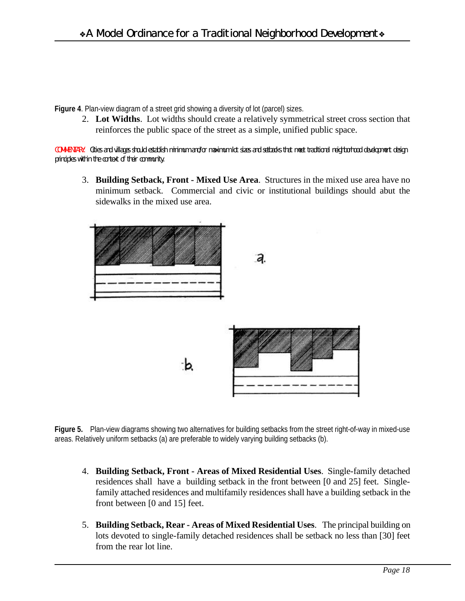**Figure 4**. Plan-view diagram of a street grid showing a diversity of lot (parcel) sizes.

2. **Lot Widths**. Lot widths should create a relatively symmetrical street cross section that reinforces the public space of the street as a simple, unified public space.

*COMMENTARY: Cities and villages should establish minimum and/or maximum lot sizes and setbacks that meet traditional neighborhood development design principles within the context of their community.*

3. **Building Setback, Front - Mixed Use Area**. Structures in the mixed use area have no minimum setback. Commercial and civic or institutional buildings should abut the sidewalks in the mixed use area.



**Figure 5.** Plan-view diagrams showing two alternatives for building setbacks from the street right-of-way in mixed-use areas. Relatively uniform setbacks (a) are preferable to widely varying building setbacks (b).

- 4. **Building Setback, Front Areas of Mixed Residential Uses**. Single-family detached residences shall have a building setback in the front between [0 and 25] feet. Singlefamily attached residences and multifamily residences shall have a building setback in the front between [0 and 15] feet.
- 5. **Building Setback, Rear Areas of Mixed Residential Uses**. The principal building on lots devoted to single-family detached residences shall be setback no less than [30] feet from the rear lot line.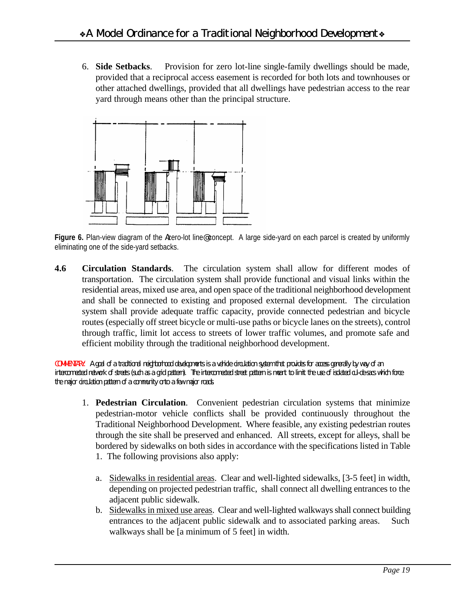6. **Side Setbacks**. Provision for zero lot-line single-family dwellings should be made, provided that a reciprocal access easement is recorded for both lots and townhouses or other attached dwellings, provided that all dwellings have pedestrian access to the rear yard through means other than the principal structure.



Figure 6. Plan-view diagram of the Azero-lot line@concept. A large side-yard on each parcel is created by uniformly eliminating one of the side-yard setbacks.

**4.6 Circulation Standards**. The circulation system shall allow for different modes of transportation. The circulation system shall provide functional and visual links within the residential areas, mixed use area, and open space of the traditional neighborhood development and shall be connected to existing and proposed external development. The circulation system shall provide adequate traffic capacity, provide connected pedestrian and bicycle routes (especially off street bicycle or multi-use paths or bicycle lanes on the streets), control through traffic, limit lot access to streets of lower traffic volumes, and promote safe and efficient mobility through the traditional neighborhood development.

*COMMENTARY: A goal of a traditional neighborhood developments is a vehicle circulation system that provides for access generally by way of an interconnected network of streets (such as a grid pattern). The interconnected street pattern is meant to limit the use of isolated cul-de-sacs which force the major circulation pattern of a community onto a few major roads.*

- 1. **Pedestrian Circulation**. Convenient pedestrian circulation systems that minimize pedestrian-motor vehicle conflicts shall be provided continuously throughout the Traditional Neighborhood Development. Where feasible, any existing pedestrian routes through the site shall be preserved and enhanced. All streets, except for alleys, shall be bordered by sidewalks on both sides in accordance with the specifications listed in Table
	- 1. The following provisions also apply:
	- a. Sidewalks in residential areas. Clear and well-lighted sidewalks, [3-5 feet] in width, depending on projected pedestrian traffic, shall connect all dwelling entrances to the adjacent public sidewalk.
	- b. Sidewalks in mixed use areas. Clear and well-lighted walkways shall connect building entrances to the adjacent public sidewalk and to associated parking areas. Such walkways shall be [a minimum of 5 feet] in width.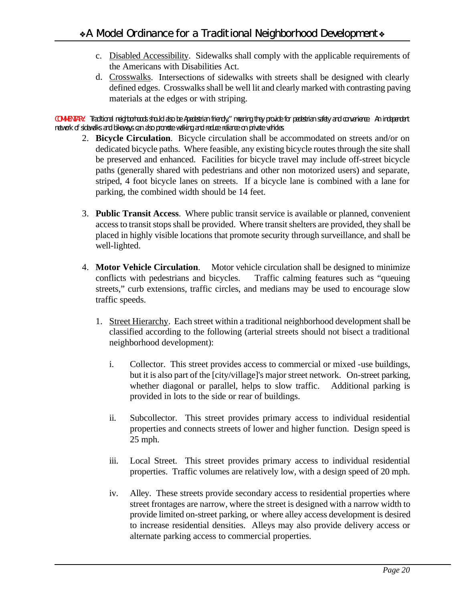- c. Disabled Accessibility. Sidewalks shall comply with the applicable requirements of the Americans with Disabilities Act.
- d. Crosswalks. Intersections of sidewalks with streets shall be designed with clearly defined edges. Crosswalks shall be well lit and clearly marked with contrasting paving materials at the edges or with striping.

*COMMENTARY: Traditional neighborhoods should also be Apedestrian friendly," meaning they provide for pedestrian safety and convenience. An independent network of sidewalks and bikeways can also promote walking and reduce reliance on private vehicles.*

- 2. **Bicycle Circulation**. Bicycle circulation shall be accommodated on streets and/or on dedicated bicycle paths. Where feasible, any existing bicycle routes through the site shall be preserved and enhanced. Facilities for bicycle travel may include off-street bicycle paths (generally shared with pedestrians and other non motorized users) and separate, striped, 4 foot bicycle lanes on streets. If a bicycle lane is combined with a lane for parking, the combined width should be 14 feet.
- 3. **Public Transit Access**. Where public transit service is available or planned, convenient access to transit stops shall be provided. Where transit shelters are provided, they shall be placed in highly visible locations that promote security through surveillance, and shall be well-lighted.
- 4. **Motor Vehicle Circulation**. Motor vehicle circulation shall be designed to minimize conflicts with pedestrians and bicycles. Traffic calming features such as "queuing streets," curb extensions, traffic circles, and medians may be used to encourage slow traffic speeds.
	- 1. Street Hierarchy. Each street within a traditional neighborhood development shall be classified according to the following (arterial streets should not bisect a traditional neighborhood development):
		- i. Collector. This street provides access to commercial or mixed -use buildings, but it is also part of the [city/village]'s major street network. On-street parking, whether diagonal or parallel, helps to slow traffic. Additional parking is provided in lots to the side or rear of buildings.
		- ii. Subcollector. This street provides primary access to individual residential properties and connects streets of lower and higher function. Design speed is 25 mph.
		- iii. Local Street. This street provides primary access to individual residential properties. Traffic volumes are relatively low, with a design speed of 20 mph.
		- iv. Alley. These streets provide secondary access to residential properties where street frontages are narrow, where the street is designed with a narrow width to provide limited on-street parking, or where alley access development is desired to increase residential densities. Alleys may also provide delivery access or alternate parking access to commercial properties.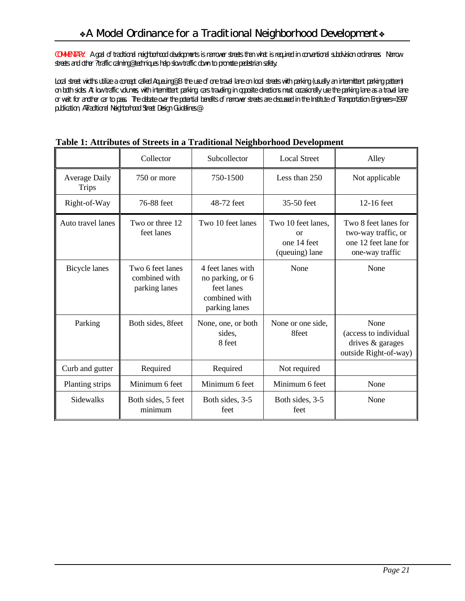*COMMENTARY: A goal of traditional neighborhood developments is narrower streets than what is required in conventional subdivision ordinances. Narrow streets and other ?traffic calming@ techniques help slow traffic down to promote pedestrian safety.*

*Local street widths utilize a concept called Aqueuing<sup>®</sup> B the use of one travel lane on local streets with parking (usually an intermittent parking pattern) on both sides. At low traffic volumes, with intermittent parking, cars traveling in opposite directions must occasionally use the parking lane as a travel lane or wait for another car to pass. The debate over the potential benefits of narrower streets are discussed in the Institute of Transportation Engineers= 1997 publication, ATraditional Neighborhood Street Design Guidelines.*@

|                                      | Collector                                          | Subcollector                                                                          | <b>Local Street</b>                                       | Alley                                                                                  |
|--------------------------------------|----------------------------------------------------|---------------------------------------------------------------------------------------|-----------------------------------------------------------|----------------------------------------------------------------------------------------|
| <b>Average Daily</b><br><b>Trips</b> | 750 or more                                        | 750-1500                                                                              | Less than 250                                             | Not applicable                                                                         |
| Right-of-Way                         | 76-88 feet                                         | 48-72 feet                                                                            | 35-50 feet                                                | $12-16$ feet                                                                           |
| Auto travel lanes                    | Two or three 12<br>feet lanes                      | Two 10 feet lanes                                                                     | Two 10 feet lanes,<br>or<br>one 14 feet<br>(queuing) lane | Two 8 feet lanes for<br>two-way traffic, or<br>one 12 feet lane for<br>one-way traffic |
| Bicycle lanes                        | Two 6 feet lanes<br>combined with<br>parking lanes | 4 feet lanes with<br>no parking, or 6<br>feet lanes<br>combined with<br>parking lanes | None                                                      | None                                                                                   |
| Parking                              | Both sides, 8feet                                  | None, one, or both<br>sides,<br>8 feet                                                | None or one side,<br>8feet                                | None<br>(access to individual<br>drives & garages<br>outside Right-of-way)             |
| Curb and gutter                      | Required                                           | Required                                                                              | Not required                                              |                                                                                        |
| Planting strips                      | Minimum 6 feet                                     | Minimum 6 feet                                                                        | Minimum 6 feet                                            | None                                                                                   |
| Sidewalks                            | Both sides, 5 feet<br>minimum                      | Both sides, 3-5<br>feet                                                               | Both sides, 3-5<br>feet                                   | None                                                                                   |

#### **Table 1: Attributes of Streets in a Traditional Neighborhood Development**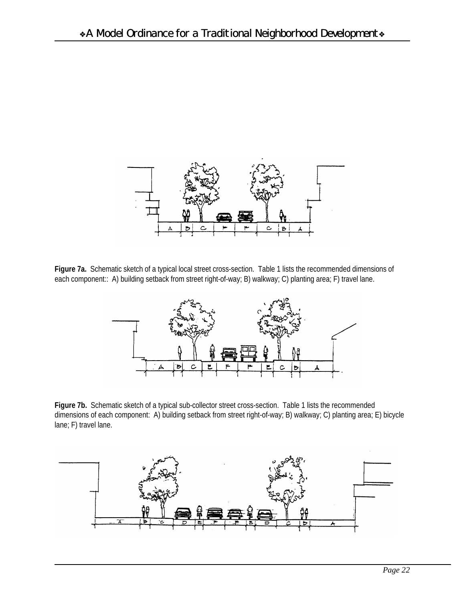

**Figure 7a.** Schematic sketch of a typical local street cross-section. Table 1 lists the recommended dimensions of each component:: A) building setback from street right-of-way; B) walkway; C) planting area; F) travel lane.



Figure 7b. Schematic sketch of a typical sub-collector street cross-section. Table 1 lists the recommended dimensions of each component: A) building setback from street right-of-way; B) walkway; C) planting area; E) bicycle lane; F) travel lane.

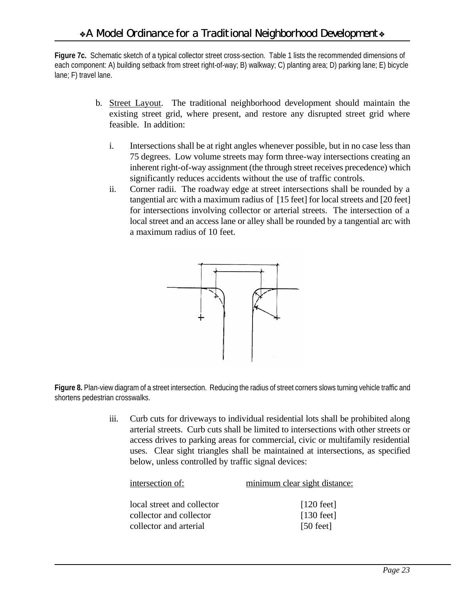**Figure 7c.** Schematic sketch of a typical collector street cross-section. Table 1 lists the recommended dimensions of each component: A) building setback from street right-of-way; B) walkway; C) planting area; D) parking lane; E) bicycle lane; F) travel lane.

- b. Street Layout. The traditional neighborhood development should maintain the existing street grid, where present, and restore any disrupted street grid where feasible. In addition:
	- i. Intersections shall be at right angles whenever possible, but in no case less than 75 degrees. Low volume streets may form three-way intersections creating an inherent right-of-way assignment (the through street receives precedence) which significantly reduces accidents without the use of traffic controls.
	- ii. Corner radii. The roadway edge at street intersections shall be rounded by a tangential arc with a maximum radius of [15 feet] for local streets and [20 feet] for intersections involving collector or arterial streets. The intersection of a local street and an access lane or alley shall be rounded by a tangential arc with a maximum radius of 10 feet.



**Figure 8.** Plan-view diagram of a street intersection. Reducing the radius of street corners slows turning vehicle traffic and shortens pedestrian crosswalks.

> iii. Curb cuts for driveways to individual residential lots shall be prohibited along arterial streets. Curb cuts shall be limited to intersections with other streets or access drives to parking areas for commercial, civic or multifamily residential uses. Clear sight triangles shall be maintained at intersections, as specified below, unless controlled by traffic signal devices:

| intersection of:           | minimum clear sight distance: |
|----------------------------|-------------------------------|
|                            |                               |
| local street and collector | $[120 \text{ feet}]$          |
| collector and collector    | $[130 \text{ feet}]$          |
| collector and arterial     | $[50 \text{ feet}]$           |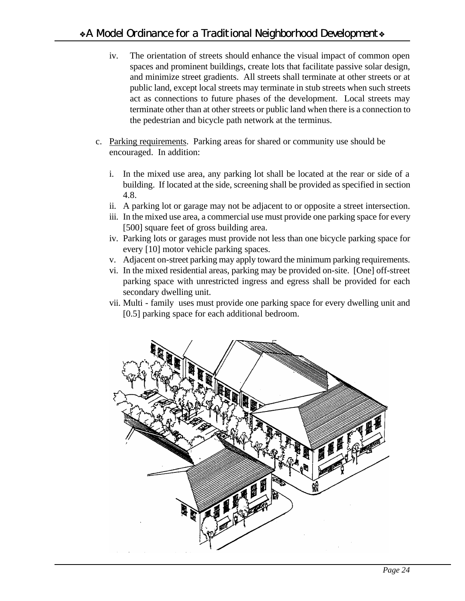- iv. The orientation of streets should enhance the visual impact of common open spaces and prominent buildings, create lots that facilitate passive solar design, and minimize street gradients. All streets shall terminate at other streets or at public land, except local streets may terminate in stub streets when such streets act as connections to future phases of the development. Local streets may terminate other than at other streets or public land when there is a connection to the pedestrian and bicycle path network at the terminus.
- c. Parking requirements. Parking areas for shared or community use should be encouraged. In addition:
	- i. In the mixed use area, any parking lot shall be located at the rear or side of a building. If located at the side, screening shall be provided as specified in section 4.8.
	- ii. A parking lot or garage may not be adjacent to or opposite a street intersection.
	- iii. In the mixed use area, a commercial use must provide one parking space for every [500] square feet of gross building area.
	- iv. Parking lots or garages must provide not less than one bicycle parking space for every [10] motor vehicle parking spaces.
	- v. Adjacent on-street parking may apply toward the minimum parking requirements.
	- vi. In the mixed residential areas, parking may be provided on-site. [One] off-street parking space with unrestricted ingress and egress shall be provided for each secondary dwelling unit.
	- vii. Multi family uses must provide one parking space for every dwelling unit and [0.5] parking space for each additional bedroom.

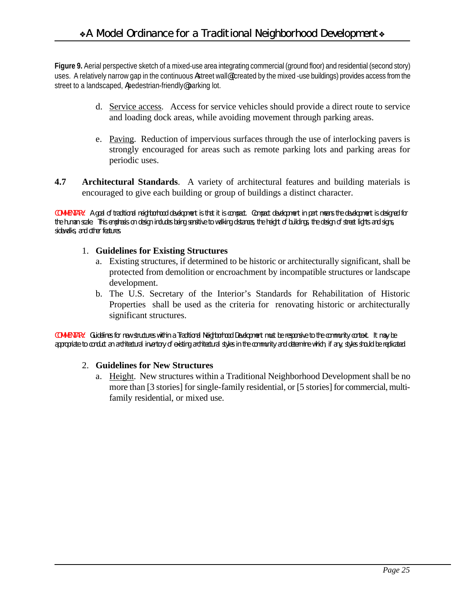**Figure 9.** Aerial perspective sketch of a mixed-use area integrating commercial (ground floor) and residential (second story) uses. A relatively narrow gap in the continuous Astreet wall (created by the mixed -use buildings) provides access from the street to a landscaped, Apedestrian-friendly@parking lot.

- d. Service access. Access for service vehicles should provide a direct route to service and loading dock areas, while avoiding movement through parking areas.
- e. Paving. Reduction of impervious surfaces through the use of interlocking pavers is strongly encouraged for areas such as remote parking lots and parking areas for periodic uses.
- **4.7 Architectural Standards**. A variety of architectural features and building materials is encouraged to give each building or group of buildings a distinct character.

*COMMENTARY: A goal of traditional neighborhood development is that it is compact. Compact development in part means the development is designed for the human scale. This emphasis on design includes being sensitive to walking distances, the height of buildings, the design of street lights and signs, sidewalks, and other features.*

#### 1. **Guidelines for Existing Structures**

- a. Existing structures, if determined to be historic or architecturally significant, shall be protected from demolition or encroachment by incompatible structures or landscape development.
- b. The U.S. Secretary of the Interior's Standards for Rehabilitation of Historic Properties shall be used as the criteria for renovating historic or architecturally significant structures.

*COMMENTARY: Guidelines for new structures within a Traditional Neighborhood Development must be responsive to the community context. It may be appropriate to conduct an architectural inventory of existing architectural styles in the community and determine which, if any, styles should be replicated.*

#### 2. **Guidelines for New Structures**

a. Height. New structures within a Traditional Neighborhood Development shall be no more than [3 stories] for single-family residential, or [5 stories] for commercial, multifamily residential, or mixed use.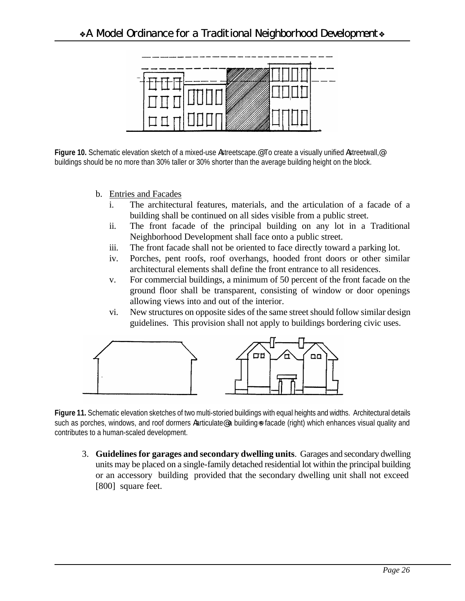

**Figure 10.** Schematic elevation sketch of a mixed-use Astreetscape.@ To create a visually unified Astreetwall,@ buildings should be no more than 30% taller or 30% shorter than the average building height on the block.

- b. Entries and Facades
	- i. The architectural features, materials, and the articulation of a facade of a building shall be continued on all sides visible from a public street.
	- ii. The front facade of the principal building on any lot in a Traditional Neighborhood Development shall face onto a public street.
	- iii. The front facade shall not be oriented to face directly toward a parking lot.
	- iv. Porches, pent roofs, roof overhangs, hooded front doors or other similar architectural elements shall define the front entrance to all residences.
	- v. For commercial buildings, a minimum of 50 percent of the front facade on the ground floor shall be transparent, consisting of window or door openings allowing views into and out of the interior.
	- vi. New structures on opposite sides of the same street should follow similar design guidelines. This provision shall not apply to buildings bordering civic uses.



**Figure 11.** Schematic elevation sketches of two multi-storied buildings with equal heights and widths. Architectural details such as porches, windows, and roof dormers Aarticulate a building=s facade (right) which enhances visual quality and contributes to a human-scaled development.

3. **Guidelines for garages and secondary dwelling units**. Garages and secondary dwelling units may be placed on a single-family detached residential lot within the principal building or an accessory building provided that the secondary dwelling unit shall not exceed [800] square feet.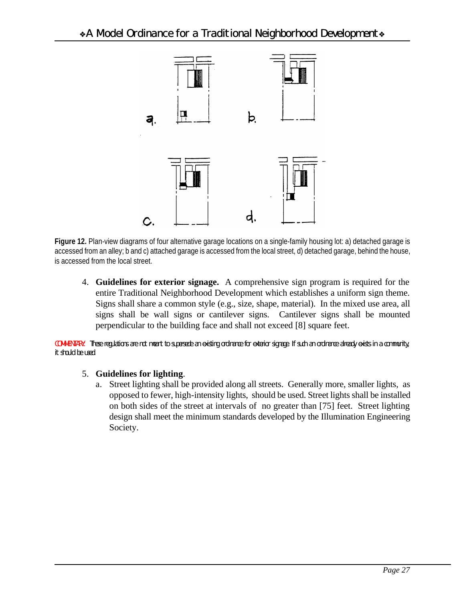

**Figure 12.** Plan-view diagrams of four alternative garage locations on a single-family housing lot: a) detached garage is accessed from an alley; b and c) attached garage is accessed from the local street, d) detached garage, behind the house, is accessed from the local street.

4. **Guidelines for exterior signage.** A comprehensive sign program is required for the entire Traditional Neighborhood Development which establishes a uniform sign theme. Signs shall share a common style (e.g., size, shape, material). In the mixed use area, all signs shall be wall signs or cantilever signs. Cantilever signs shall be mounted perpendicular to the building face and shall not exceed [8] square feet.

*COMMENTARY: These regulations are not meant to supersede an existing ordinance for exterior signage. If such an ordinance already exists in a community, it should be used.* 

#### 5. **Guidelines for lighting**.

a. Street lighting shall be provided along all streets. Generally more, smaller lights, as opposed to fewer, high-intensity lights, should be used. Street lights shall be installed on both sides of the street at intervals of no greater than [75] feet. Street lighting design shall meet the minimum standards developed by the Illumination Engineering Society.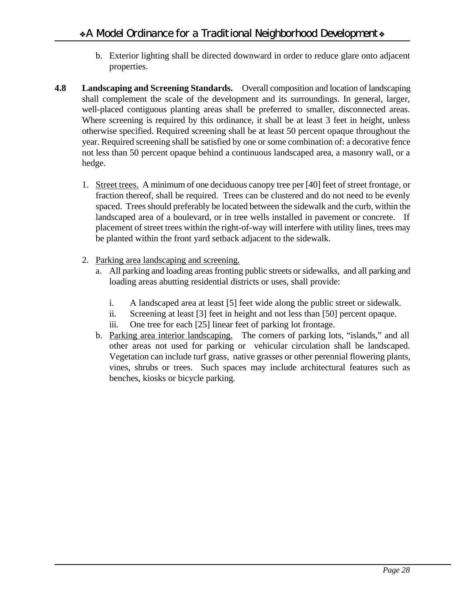- b. Exterior lighting shall be directed downward in order to reduce glare onto adjacent properties.
- **4.8 Landscaping and Screening Standards.** Overall composition and location of landscaping shall complement the scale of the development and its surroundings. In general, larger, well-placed contiguous planting areas shall be preferred to smaller, disconnected areas. Where screening is required by this ordinance, it shall be at least 3 feet in height, unless otherwise specified. Required screening shall be at least 50 percent opaque throughout the year. Required screening shall be satisfied by one or some combination of: a decorative fence not less than 50 percent opaque behind a continuous landscaped area, a masonry wall, or a hedge.
	- 1. Street trees. A minimum of one deciduous canopy tree per [40] feet of street frontage, or fraction thereof, shall be required. Trees can be clustered and do not need to be evenly spaced. Trees should preferably be located between the sidewalk and the curb, within the landscaped area of a boulevard, or in tree wells installed in pavement or concrete. If placement of street trees within the right-of-way will interfere with utility lines, trees may be planted within the front yard setback adjacent to the sidewalk.
	- 2. Parking area landscaping and screening.
		- a. All parking and loading areas fronting public streets or sidewalks, and all parking and loading areas abutting residential districts or uses, shall provide:
			- i. A landscaped area at least [5] feet wide along the public street or sidewalk.
			- ii. Screening at least [3] feet in height and not less than [50] percent opaque.
			- iii. One tree for each [25] linear feet of parking lot frontage.
		- b. Parking area interior landscaping. The corners of parking lots, "islands," and all other areas not used for parking or vehicular circulation shall be landscaped. Vegetation can include turf grass, native grasses or other perennial flowering plants, vines, shrubs or trees. Such spaces may include architectural features such as benches, kiosks or bicycle parking.